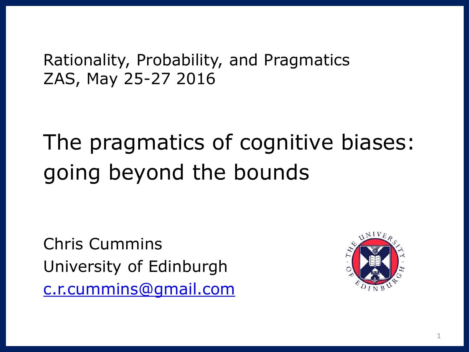Rationality, Probability, and Pragmatics ZAS, May 25-27 2016

The pragmatics of cognitive biases: going beyond the bounds

Chris Cummins University of Edinburgh [c.r.cummins@gmail.com](mailto:c.r.cummins@gmail.com)

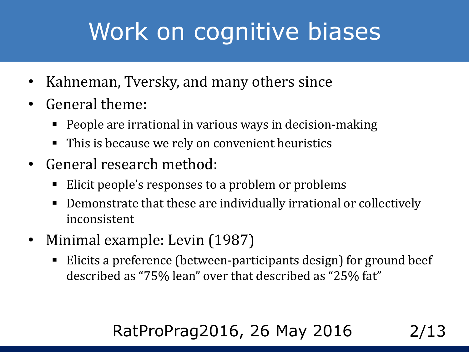# Work on cognitive biases

- Kahneman, Tversky, and many others since
- General theme:
	- People are irrational in various ways in decision-making
	- This is because we rely on convenient heuristics
- General research method:
	- Elicit people's responses to a problem or problems
	- Demonstrate that these are individually irrational or collectively inconsistent
- Minimal example: Levin (1987)
	- Elicits a preference (between-participants design) for ground beef described as "75% lean" over that described as "25% fat"

### RatProPrag2016, 26 May 2016 2/13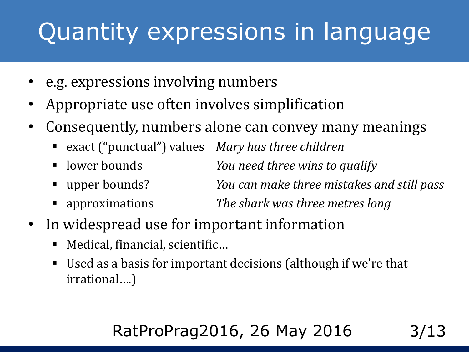# Quantity expressions in language

- e.g. expressions involving numbers
- Appropriate use often involves simplification
- Consequently, numbers alone can convey many meanings
	- exact ("punctual") values *Mary has three children*
	- **If lower bounds** *You need three wins to qualify*
	- upper bounds? *You can make three mistakes and still pass*
	- approximations *The shark was three metres long*
- In widespread use for important information
	- Medical, financial, scientific...
	- Used as a basis for important decisions (although if we're that irrational….)

#### RatProPrag2016, 26 May 2016 3/13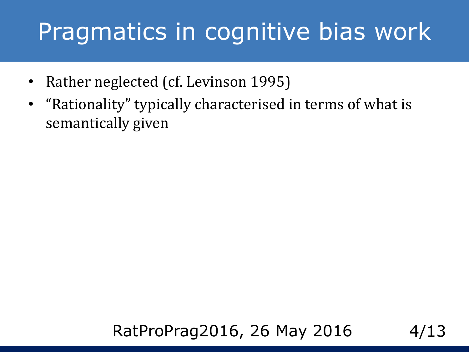### Pragmatics in cognitive bias work

- Rather neglected (cf. Levinson 1995)
- "Rationality" typically characterised in terms of what is semantically given

#### RatProPrag2016, 26 May 2016 4/13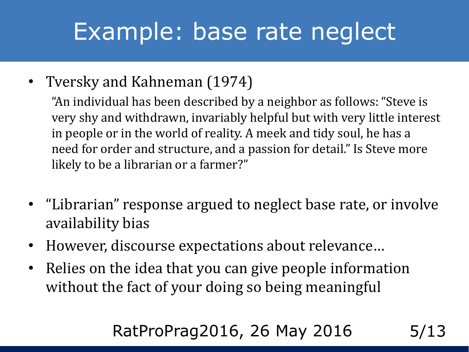# Example: base rate neglect

• Tversky and Kahneman (1974)

"An individual has been described by a neighbor as follows: "Steve is very shy and withdrawn, invariably helpful but with very little interest in people or in the world of reality. A meek and tidy soul, he has a need for order and structure, and a passion for detail." Is Steve more likely to be a librarian or a farmer?"

- "Librarian" response argued to neglect base rate, or involve availability bias
- However, discourse expectations about relevance…
- Relies on the idea that you can give people information without the fact of your doing so being meaningful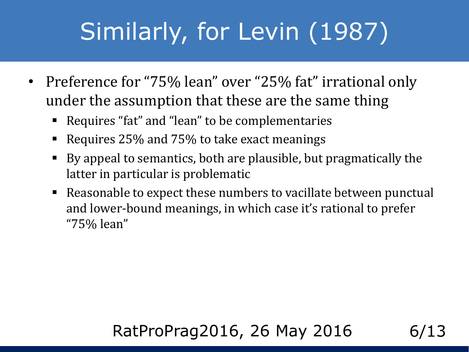# Similarly, for Levin (1987)

- Preference for "75% lean" over "25% fat" irrational only under the assumption that these are the same thing
	- Requires "fat" and "lean" to be complementaries
	- Requires 25% and 75% to take exact meanings
	- By appeal to semantics, both are plausible, but pragmatically the latter in particular is problematic
	- Reasonable to expect these numbers to vacillate between punctual and lower-bound meanings, in which case it's rational to prefer "75% lean"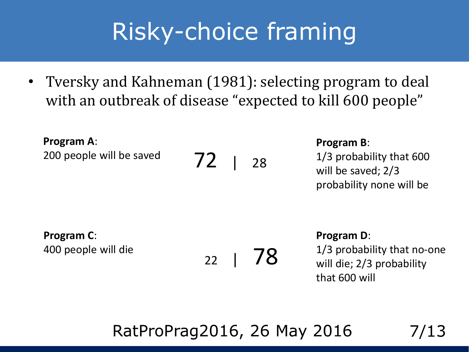# Risky-choice framing

• Tversky and Kahneman (1981): selecting program to deal with an outbreak of disease "expected to kill 600 people"

**Program A**: 200 people will be saved

72 <sup>|</sup><sup>28</sup>

**Program B**:

1/3 probability that 600 will be saved; 2/3 probability none will be

**Program C**: 400 people will die

 $22 \mid 78$ 

#### **Program D**:

1/3 probability that no-one will die; 2/3 probability that 600 will

#### RatProPrag2016, 26 May 2016 7/13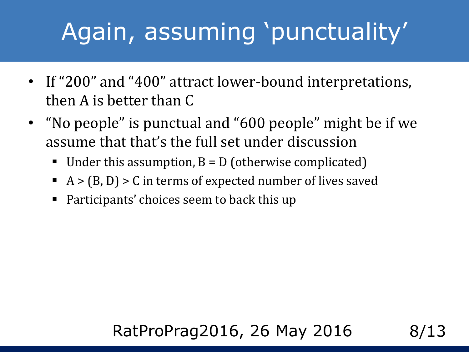# Again, assuming 'punctuality'

- If "200" and "400" attract lower-bound interpretations, then A is better than C
- "No people" is punctual and "600 people" might be if we assume that that's the full set under discussion
	- Under this assumption,  $B = D$  (otherwise complicated)
	- $A > (B, D) > C$  in terms of expected number of lives saved
	- Participants' choices seem to back this up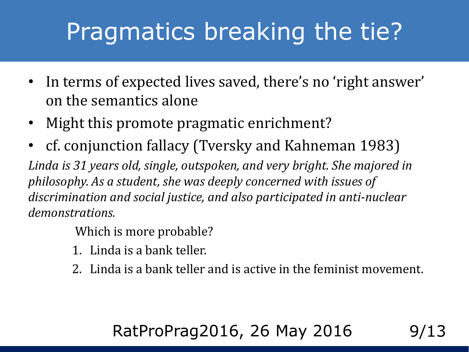# Pragmatics breaking the tie?

- In terms of expected lives saved, there's no 'right answer' on the semantics alone
- Might this promote pragmatic enrichment?
- cf. conjunction fallacy (Tversky and Kahneman 1983)

*Linda is 31 years old, single, outspoken, and very bright. She majored in philosophy. As a student, she was deeply concerned with issues of discrimination and social justice, and also participated in anti-nuclear demonstrations.*

Which is more probable?

- 1. Linda is a bank teller.
- 2. Linda is a bank teller and is active in the feminist movement.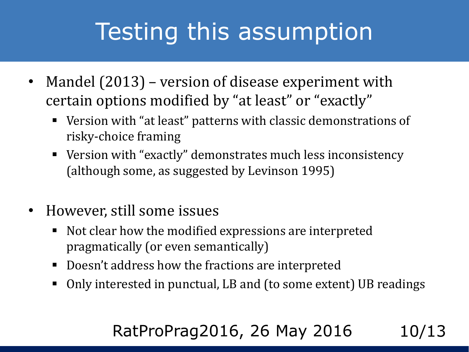# Testing this assumption

- Mandel  $(2013)$  version of disease experiment with certain options modified by "at least" or "exactly"
	- Version with "at least" patterns with classic demonstrations of risky-choice framing
	- Version with "exactly" demonstrates much less inconsistency (although some, as suggested by Levinson 1995)
- However, still some issues
	- Not clear how the modified expressions are interpreted pragmatically (or even semantically)
	- Doesn't address how the fractions are interpreted
	- Only interested in punctual, LB and (to some extent) UB readings

#### RatProPrag2016, 26 May 2016 10/13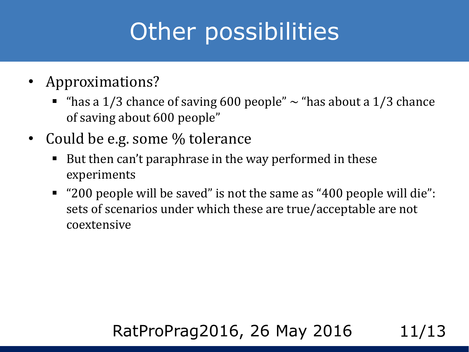# Other possibilities

- Approximations?
	- "has a 1/3 chance of saving 600 people"  $\sim$  "has about a 1/3 chance of saving about 600 people"
- Could be e.g. some % tolerance
	- But then can't paraphrase in the way performed in these experiments
	- "200 people will be saved" is not the same as "400 people will die": sets of scenarios under which these are true/acceptable are not coextensive

#### RatProPrag2016, 26 May 2016 11/13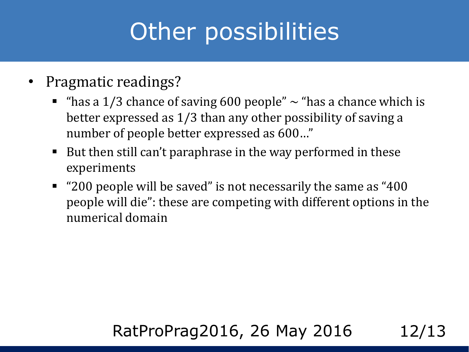# Other possibilities

- Pragmatic readings?
	- " "has a  $1/3$  chance of saving 600 people"  $\sim$  "has a chance which is better expressed as 1/3 than any other possibility of saving a number of people better expressed as 600…"
	- But then still can't paraphrase in the way performed in these experiments
	- "200 people will be saved" is not necessarily the same as "400 people will die": these are competing with different options in the numerical domain

#### RatProPrag2016, 26 May 2016 12/13